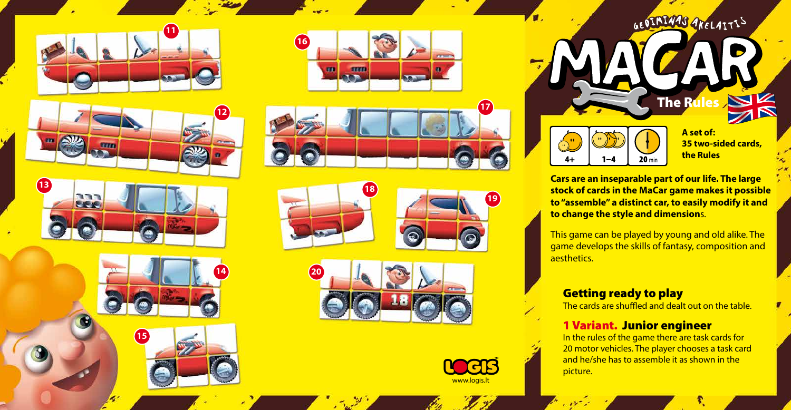





















**35 two-sided cards,**

**Cars are an inseparable part of our life. The large stock of cards in the MaCar game makes it possible to "assemble" a distinct car, to easily modify it and to change the style and dimension**s.

This game can be played by young and old alike. The game develops the skills of fantasy, composition and aesthetics.

## Getting ready to play

The cards are shuffled and dealt out on the table.

# 1 Variant. Junior engineer

In the rules of the game there are task cards for 20 motor vehicles. The player chooses a task card and he/she has to assemble it as shown in the picture.